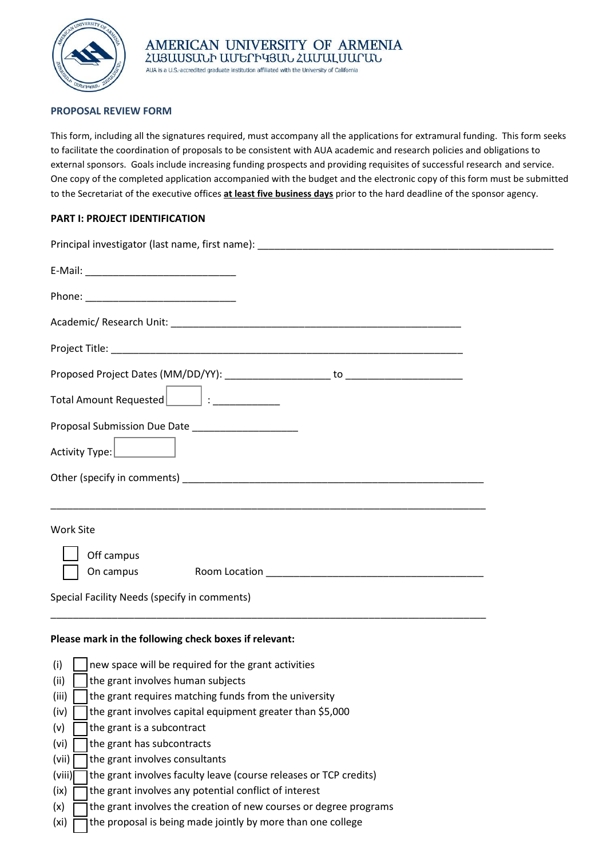

## **PROPOSAL REVIEW FORM**

This form, including all the signatures required, must accompany all the applications for extramural funding. This form seeks to facilitate the coordination of proposals to be consistent with AUA academic and research policies and obligations to external sponsors. Goals include increasing funding prospects and providing requisites of successful research and service. One copy of the completed application accompanied with the budget and the electronic copy of this form must be submitted to the Secretariat of the executive offices **at least five business days** prior to the hard deadline of the sponsor agency.

# **PART I: PROJECT IDENTIFICATION**

| Proposal Submission Due Date _____________________                                                                   |  |
|----------------------------------------------------------------------------------------------------------------------|--|
|                                                                                                                      |  |
|                                                                                                                      |  |
| <u> 1980 - Jan James James James James James James James James James James James James James James James James J</u> |  |
| <b>Work Site</b>                                                                                                     |  |
| Off campus                                                                                                           |  |
| On campus<br>Special Facility Needs (specify in comments)                                                            |  |
|                                                                                                                      |  |

## **Please mark in the following check boxes if relevant:**

| (i)    | new space will be required for the grant activities               |
|--------|-------------------------------------------------------------------|
| (ii)   | the grant involves human subjects                                 |
| (iii)  | the grant requires matching funds from the university             |
| (iv)   | the grant involves capital equipment greater than \$5,000         |
| (v)    | the grant is a subcontract                                        |
| (vi)   | the grant has subcontracts                                        |
| (vii)  | the grant involves consultants                                    |
| (viii) | the grant involves faculty leave (course releases or TCP credits) |
| (ix)   | the grant involves any potential conflict of interest             |
| (x)    | the grant involves the creation of new courses or degree programs |
| (xi)   | the proposal is being made jointly by more than one college       |